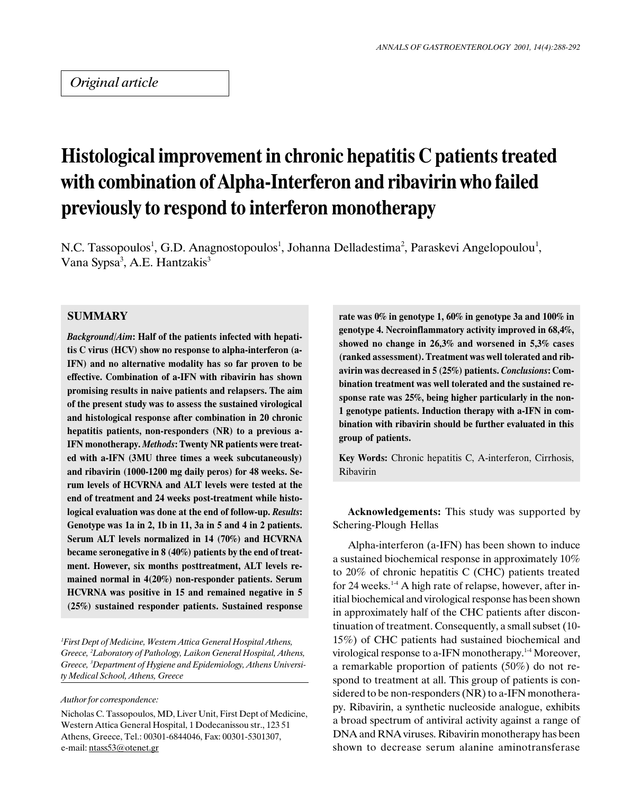# Histological improvement in chronic hepatitis C patients treated with combination of Alpha-Interferon and ribavirin who failed previously to respond to interferon monotherapy

N.C. Tassopoulos<sup>1</sup>, G.D. Anagnostopoulos<sup>1</sup>, Johanna Delladestima<sup>2</sup>, Paraskevi Angelopoulou<sup>1</sup>, Vana Sypsa<sup>3</sup>, A.E. Hantzakis<sup>3</sup>

## **SUMMARY**

Background/Aim: Half of the patients infected with hepatitis C virus (HCV) show no response to alpha-interferon (a-IFN) and no alternative modality has so far proven to be effective. Combination of a-IFN with ribavirin has shown promising results in naive patients and relapsers. The aim of the present study was to assess the sustained virological and histological response after combination in 20 chronic hepatitis patients, non-responders (NR) to a previous a-IFN monotherapy. Methods: Twenty NR patients were treated with a-IFN (3MU three times a week subcutaneously) and ribavirin (1000-1200 mg daily peros) for 48 weeks. Serum levels of HCVRNA and ALT levels were tested at the end of treatment and 24 weeks post-treatment while histological evaluation was done at the end of follow-up. Results: Genotype was 1a in 2, 1b in 11, 3a in 5 and 4 in 2 patients. Serum ALT levels normalized in 14 (70%) and HCVRNA became seronegative in 8 (40%) patients by the end of treatment. However, six months posttreatment, ALT levels remained normal in 4(20%) non-responder patients. Serum HCVRNA was positive in 15 and remained negative in 5 (25%) sustained responder patients. Sustained response

1 First Dept of Medicine, Western Attica General Hospital Athens, Greece, <sup>2</sup>Laboratory of Pathology, Laikon General Hospital, Athens, Greece, <sup>3</sup>Department of Hygiene and Epidemiology, Athens University Medical School, Athens, Greece

#### Author for correspondence:

Nicholas C. Tassopoulos, MD, Liver Unit, First Dept of Medicine, Western Attica General Hospital, 1 Dodecanissou str., 123 51 Athens, Greece, Tel.: 00301-6844046, Fax: 00301-5301307, e-mail: ntass53@otenet.gr

rate was 0% in genotype 1, 60% in genotype 3a and 100% in genotype 4. Necroinflammatory activity improved in 68,4%, showed no change in 26,3% and worsened in 5,3% cases (ranked assessment). Treatment was well tolerated and ribavirin was decreased in 5 (25%) patients. Conclusions: Combination treatment was well tolerated and the sustained response rate was 25%, being higher particularly in the non-1 genotype patients. Induction therapy with a-IFN in combination with ribavirin should be further evaluated in this group of patients.

Key Words: Chronic hepatitis C, A-interferon, Cirrhosis, Ribavirin

Acknowledgements: This study was supported by Schering-Plough Hellas

Alpha-interferon (a-IFN) has been shown to induce a sustained biochemical response in approximately 10% to 20% of chronic hepatitis C (CHC) patients treated for 24 weeks.<sup>14</sup> A high rate of relapse, however, after initial biochemical and virological response has been shown in approximately half of the CHC patients after discontinuation of treatment. Consequently, a small subset (10- 15%) of CHC patients had sustained biochemical and virological response to a-IFN monotherapy.<sup>1-4</sup> Moreover, a remarkable proportion of patients (50%) do not respond to treatment at all. This group of patients is considered to be non-responders (NR) to a-IFN monotherapy. Ribavirin, a synthetic nucleoside analogue, exhibits a broad spectrum of antiviral activity against a range of DNA and RNA viruses. Ribavirin monotherapy has been shown to decrease serum alanine aminotransferase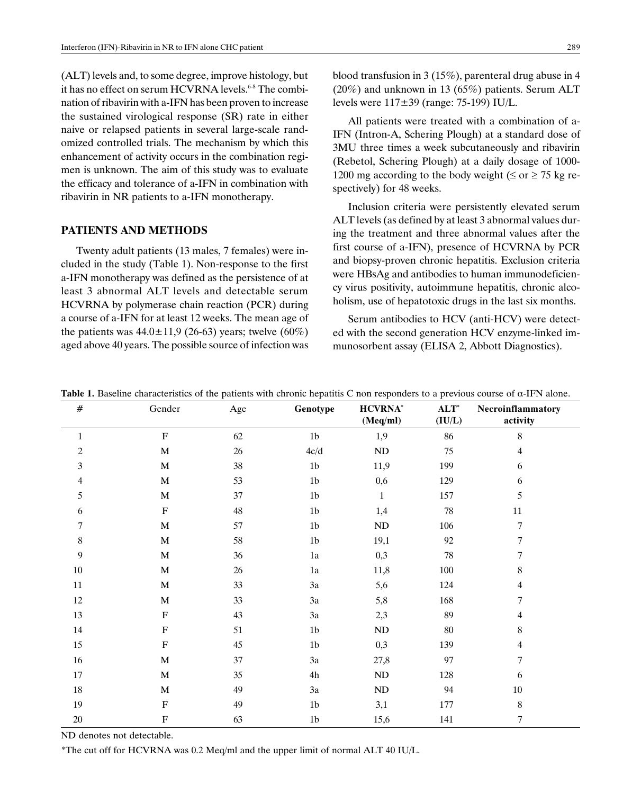(ALT) levels and, to some degree, improve histology, but it has no effect on serum HCVRNA levels.<sup>6-8</sup> The combination of ribavirin with a-IFN has been proven to increase the sustained virological response (SR) rate in either naive or relapsed patients in several large-scale randomized controlled trials. The mechanism by which this enhancement of activity occurs in the combination regimen is unknown. The aim of this study was to evaluate the efficacy and tolerance of a-IFN in combination with ribavirin in NR patients to a-IFN monotherapy.

#### PATIENTS AND METHODS

Twenty adult patients (13 males, 7 females) were included in the study (Table 1). Non-response to the first a-IFN monotherapy was defined as the persistence of at least 3 abnormal ALT levels and detectable serum HCVRNA by polymerase chain reaction (PCR) during a course of a-IFN for at least 12 weeks. The mean age of the patients was  $44.0 \pm 11.9$  (26-63) years; twelve (60%) aged above 40 years. The possible source of infection was

All patients were treated with a combination of a-IFN (Intron-A, Schering Plough) at a standard dose of 3MU three times a week subcutaneously and ribavirin (Rebetol, Schering Plough) at a daily dosage of 1000- 1200 mg according to the body weight  $(\leq \text{or } \geq 75 \text{ kg re-}$ spectively) for 48 weeks.

Inclusion criteria were persistently elevated serum ALT levels (as defined by at least 3 abnormal values during the treatment and three abnormal values after the first course of a-IFN), presence of HCVRNA by PCR and biopsy-proven chronic hepatitis. Exclusion criteria were HBsAg and antibodies to human immunodeficiency virus positivity, autoimmune hepatitis, chronic alcoholism, use of hepatotoxic drugs in the last six months.

Serum antibodies to HCV (anti-HCV) were detected with the second generation HCV enzyme-linked immunosorbent assay (ELISA 2, Abbott Diagnostics).

| $\#$         | Gender                    | Age    | Genotype       | <b>HCVRNA</b> *<br>(Meq/ml) | $ALT^*$<br>(IU/L) | Necroinflammatory<br>activity |
|--------------|---------------------------|--------|----------------|-----------------------------|-------------------|-------------------------------|
| $\mathbf{1}$ | $\mathbf F$               | 62     | $1\mathrm{b}$  | 1,9                         | 86                | $\,8\,$                       |
| $\mathbf{2}$ | M                         | $26\,$ | $4c/d$         | $\rm ND$                    | 75                | 4                             |
| 3            | $\mathbf M$               | 38     | $1\mathrm{b}$  | 11,9                        | 199               | 6                             |
| 4            | M                         | 53     | $1\mathrm{b}$  | 0,6                         | 129               | 6                             |
| 5            | $\mathbf M$               | 37     | $1\mathrm{b}$  | $\mathbf{1}$                | 157               | $\sqrt{5}$                    |
| 6            | $\boldsymbol{\mathrm{F}}$ | 48     | $1\mathrm{b}$  | 1,4                         | $78\,$            | $11\,$                        |
| 7            | $\mathbf M$               | 57     | 1 <sub>b</sub> | $\rm ND$                    | 106               | 7                             |
| $8\,$        | $\mathbf M$               | 58     | $1\mathrm{b}$  | 19,1                        | $92\,$            | 7                             |
| 9            | $\mathbf M$               | 36     | $1\mathrm{a}$  | 0,3                         | $78\,$            | 7                             |
| 10           | $\mathbf M$               | $26\,$ | 1a             | 11,8                        | 100               | $\,8\,$                       |
| 11           | M                         | 33     | 3a             | 5,6                         | 124               | 4                             |
| 12           | M                         | 33     | 3a             | 5,8                         | 168               | 7                             |
| 13           | $\mathbf F$               | 43     | 3a             | 2,3                         | 89                | 4                             |
| 14           | $\boldsymbol{\mathrm{F}}$ | 51     | $1\mathrm{b}$  | $\rm ND$                    | $80\,$            | $\,$ 8 $\,$                   |
| 15           | $\mathbf F$               | 45     | $1\mathrm{b}$  | 0,3                         | 139               | 4                             |
| 16           | M                         | 37     | $3\mathrm{a}$  | 27,8                        | 97                | 7                             |
| 17           | M                         | 35     | 4h             | ND                          | 128               | 6                             |
| $18\,$       | M                         | 49     | 3a             | $\rm ND$                    | 94                | $10\,$                        |
| 19           | $\mathbf F$               | 49     | $1\mathrm{b}$  | 3,1                         | 177               | $\,8\,$                       |
| 20           | $\mathbf F$               | 63     | 1 <sub>b</sub> | 15,6                        | 141               | 7                             |

Table 1. Baseline characteristics of the patients with chronic hepatitis C non responders to a previous course of  $\alpha$ -IFN alone.

ND denotes not detectable.

\*The cut off for HCVRNA was 0.2 Meq/ml and the upper limit of normal ALT 40 IU/L.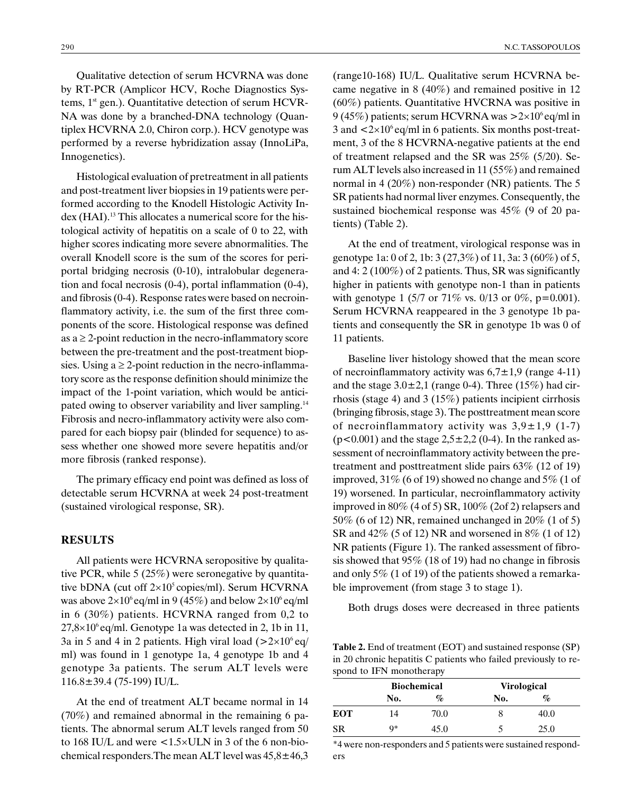Qualitative detection of serum HCVRNA was done by RT-PCR (Amplicor HCV, Roche Diagnostics Systems, 1<sup>st</sup> gen.). Quantitative detection of serum HCVR-NA was done by a branched-DNA technology (Quantiplex HCVRNA 2.0, Chiron corp.). HCV genotype was performed by a reverse hybridization assay (InnoLiPa, Innogenetics).

Histological evaluation of pretreatment in all patients and post-treatment liver biopsies in 19 patients were performed according to the Knodell Histologic Activity Index (HAI).<sup>13</sup> This allocates a numerical score for the histological activity of hepatitis on a scale of 0 to 22, with higher scores indicating more severe abnormalities. The overall Knodell score is the sum of the scores for periportal bridging necrosis (0-10), intralobular degeneration and focal necrosis (0-4), portal inflammation (0-4), and fibrosis (0-4). Response rates were based on necroinflammatory activity, i.e. the sum of the first three components of the score. Histological response was defined as  $a \geq 2$ -point reduction in the necro-inflammatory score between the pre-treatment and the post-treatment biopsies. Using a  $\geq$  2-point reduction in the necro-inflammatory score as the response definition should minimize the impact of the 1-point variation, which would be anticipated owing to observer variability and liver sampling.<sup>14</sup> Fibrosis and necro-inflammatory activity were also compared for each biopsy pair (blinded for sequence) to assess whether one showed more severe hepatitis and/or more fibrosis (ranked response).

The primary efficacy end point was defined as loss of detectable serum HCVRNA at week 24 post-treatment (sustained virological response, SR).

### RESULTS

All patients were HCVRNA seropositive by qualitative PCR, while 5 (25%) were seronegative by quantitative bDNA (cut off  $2\times10^5$  copies/ml). Serum HCVRNA was above  $2\times10^6$  eq/ml in 9 (45%) and below  $2\times10^6$  eq/ml in 6 (30%) patients. HCVRNA ranged from 0,2 to  $27,8\times10^{6}$  eq/ml. Genotype 1a was detected in 2, 1b in 11, 3a in 5 and 4 in 2 patients. High viral load  $(>2\times10^6 \text{ eq}/10^6 \text{ eV})$ ml) was found in 1 genotype 1a, 4 genotype 1b and 4 genotype 3a patients. The serum ALT levels were 116.8±39.4 (75-199) IU/L.

At the end of treatment ALT became normal in 14 (70%) and remained abnormal in the remaining 6 patients. The abnormal serum ALT levels ranged from 50 to 168 IU/L and were  $\langle 1.5 \times \text{ULN} \rangle$  in 3 of the 6 non-biochemical responders.The mean ALT level was 45,8±46,3 (range10-168) IU/L. Qualitative serum HCVRNA became negative in 8 (40%) and remained positive in 12 (60%) patients. Quantitative HVCRNA was positive in 9 (45%) patients; serum HCVRNA was  $>2\times10^6$  eq/ml in 3 and  $\langle 2 \times 10^6 \text{ eq/ml}$  in 6 patients. Six months post-treatment, 3 of the 8 HCVRNA-negative patients at the end of treatment relapsed and the SR was 25% (5/20). Serum ALT levels also increased in 11 (55%) and remained normal in 4 (20%) non-responder (NR) patients. The 5 SR patients had normal liver enzymes. Consequently, the sustained biochemical response was 45% (9 of 20 patients) (Table 2).

At the end of treatment, virological response was in genotype 1a: 0 of 2, 1b: 3 (27,3%) of 11, 3a: 3 (60%) of 5, and 4: 2 (100%) of 2 patients. Thus, SR was significantly higher in patients with genotype non-1 than in patients with genotype 1 (5/7 or 71% vs. 0/13 or 0%, p=0.001). Serum HCVRNA reappeared in the 3 genotype 1b patients and consequently the SR in genotype 1b was 0 of 11 patients.

Baseline liver histology showed that the mean score of necroinflammatory activity was  $6.7 \pm 1.9$  (range 4-11) and the stage  $3.0\pm2.1$  (range 0-4). Three (15%) had cirrhosis (stage 4) and 3 (15%) patients incipient cirrhosis (bringing fibrosis, stage 3). The posttreatment mean score of necroinflammatory activity was  $3,9 \pm 1,9$  (1-7)  $(p<0.001)$  and the stage  $2,5\pm2,2$  (0-4). In the ranked assessment of necroinflammatory activity between the pretreatment and posttreatment slide pairs 63% (12 of 19) improved, 31% (6 of 19) showed no change and 5% (1 of 19) worsened. In particular, necroinflammatory activity improved in 80% (4 of 5) SR, 100% (2of 2) relapsers and 50% (6 of 12) NR, remained unchanged in 20% (1 of 5) SR and 42% (5 of 12) NR and worsened in 8% (1 of 12) NR patients (Figure 1). The ranked assessment of fibrosis showed that 95% (18 of 19) had no change in fibrosis and only 5% (1 of 19) of the patients showed a remarkable improvement (from stage 3 to stage 1).

Both drugs doses were decreased in three patients

Table 2. End of treatment (EOT) and sustained response (SP) in 20 chronic hepatitis C patients who failed previously to respond to IFN monotherapy

|            |     | <b>Biochemical</b> | <b>Virological</b> |      |  |
|------------|-----|--------------------|--------------------|------|--|
|            | No. | %                  | No.                | $\%$ |  |
| <b>EOT</b> | 14  | 70.0               |                    | 40.0 |  |
| <b>SR</b>  | q*  | 45.0               |                    | 25.0 |  |

\*4 were non-responders and 5 patients were sustained responders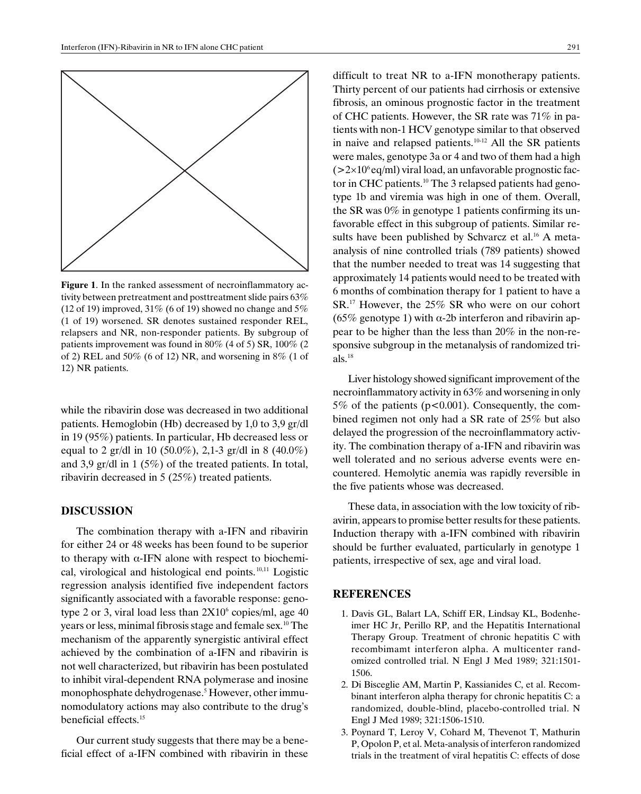

Figure 1. In the ranked assessment of necroinflammatory activity between pretreatment and posttreatment slide pairs 63% (12 of 19) improved,  $31\%$  (6 of 19) showed no change and  $5\%$ (1 of 19) worsened. SR denotes sustained responder REL, relapsers and NR, non-responder patients. By subgroup of patients improvement was found in 80% (4 of 5) SR, 100% (2 of 2) REL and 50% (6 of 12) NR, and worsening in 8% (1 of 12) NR patients.

while the ribavirin dose was decreased in two additional patients. Hemoglobin (Hb) decreased by 1,0 to 3,9 gr/dl in 19 (95%) patients. In particular, Hb decreased less or equal to 2 gr/dl in 10 (50.0%), 2,1-3 gr/dl in 8 (40.0%) and 3,9 gr/dl in 1 (5%) of the treated patients. In total, ribavirin decreased in 5 (25%) treated patients.

### DISCUSSION

The combination therapy with a-IFN and ribavirin for either 24 or 48 weeks has been found to be superior to therapy with  $\alpha$ -IFN alone with respect to biochemical, virological and histological end points.10,11 Logistic regression analysis identified five independent factors significantly associated with a favorable response: genotype 2 or 3, viral load less than  $2X10<sup>6</sup>$  copies/ml, age 40 years or less, minimal fibrosis stage and female sex.10 The mechanism of the apparently synergistic antiviral effect achieved by the combination of a-IFN and ribavirin is not well characterized, but ribavirin has been postulated to inhibit viral-dependent RNA polymerase and inosine monophosphate dehydrogenase.<sup>5</sup> However, other immunomodulatory actions may also contribute to the drug's beneficial effects.15

Our current study suggests that there may be a beneficial effect of a-IFN combined with ribavirin in these difficult to treat NR to a-IFN monotherapy patients. Thirty percent of our patients had cirrhosis or extensive fibrosis, an ominous prognostic factor in the treatment of CHC patients. However, the SR rate was 71% in patients with non-1 HCV genotype similar to that observed in naive and relapsed patients.<sup>10-12</sup> All the SR patients were males, genotype 3a or 4 and two of them had a high  $(>2\times10^6$  eq/ml) viral load, an unfavorable prognostic factor in CHC patients.<sup>10</sup> The 3 relapsed patients had genotype 1b and viremia was high in one of them. Overall, the SR was 0% in genotype 1 patients confirming its unfavorable effect in this subgroup of patients. Similar results have been published by Schvarcz et al. $^{16}$  A metaanalysis of nine controlled trials (789 patients) showed that the number needed to treat was 14 suggesting that approximately 14 patients would need to be treated with 6 months of combination therapy for 1 patient to have a SR.17 However, the 25% SR who were on our cohort (65% genotype 1) with  $\alpha$ -2b interferon and ribavirin appear to be higher than the less than 20% in the non-responsive subgroup in the metanalysis of randomized tri $als.$ <sup>18</sup>

Liver histology showed significant improvement of the necroinflammatory activity in 63% and worsening in only 5% of the patients ( $p<0.001$ ). Consequently, the combined regimen not only had a SR rate of 25% but also delayed the progression of the necroinflammatory activity. The combination therapy of a-IFN and ribavirin was well tolerated and no serious adverse events were encountered. Hemolytic anemia was rapidly reversible in the five patients whose was decreased.

These data, in association with the low toxicity of ribavirin, appears to promise better results for these patients. Induction therapy with a-IFN combined with ribavirin should be further evaluated, particularly in genotype 1 patients, irrespective of sex, age and viral load.

## **REFERENCES**

- 1. Davis GL, Balart LA, Schiff ER, Lindsay KL, Bodenheimer HC Jr, Perillo RP, and the Hepatitis International Therapy Group. Treatment of chronic hepatitis C with recombimamt interferon alpha. A multicenter randomized controlled trial. N Engl J Med 1989; 321:1501- 1506.
- 2. Di Bisceglie AM, Martin P, Kassianides C, et al. Recombinant interferon alpha therapy for chronic hepatitis C: a randomized, double-blind, placebo-controlled trial. N Engl J Med 1989; 321:1506-1510.
- 3. Poynard T, Leroy V, Cohard M, Thevenot T, Mathurin P, Opolon P, et al. Meta-analysis of interferon randomized trials in the treatment of viral hepatitis C: effects of dose